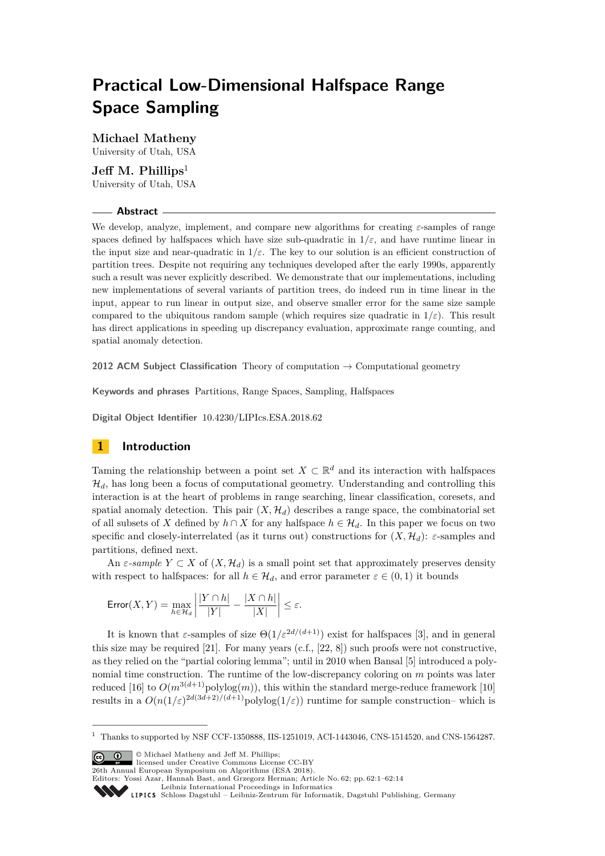# **Practical Low-Dimensional Halfspace Range Space Sampling**

**Michael Matheny** University of Utah, USA

# **Jeff M. Phillips**<sup>1</sup>

University of Utah, USA

## **Abstract**

We develop, analyze, implement, and compare new algorithms for creating *ε*-samples of range spaces defined by halfspaces which have size sub-quadratic in  $1/\varepsilon$ , and have runtime linear in the input size and near-quadratic in  $1/\varepsilon$ . The key to our solution is an efficient construction of partition trees. Despite not requiring any techniques developed after the early 1990s, apparently such a result was never explicitly described. We demonstrate that our implementations, including new implementations of several variants of partition trees, do indeed run in time linear in the input, appear to run linear in output size, and observe smaller error for the same size sample compared to the ubiquitous random sample (which requires size quadratic in  $1/\varepsilon$ ). This result has direct applications in speeding up discrepancy evaluation, approximate range counting, and spatial anomaly detection.

**2012 ACM Subject Classification** Theory of computation → Computational geometry

**Keywords and phrases** Partitions, Range Spaces, Sampling, Halfspaces

**Digital Object Identifier** [10.4230/LIPIcs.ESA.2018.62](http://dx.doi.org/10.4230/LIPIcs.ESA.2018.62)

# **1 Introduction**

Taming the relationship between a point set  $X \subset \mathbb{R}^d$  and its interaction with halfspaces  $\mathcal{H}_d$ , has long been a focus of computational geometry. Understanding and controlling this interaction is at the heart of problems in range searching, linear classification, coresets, and spatial anomaly detection. This pair  $(X, \mathcal{H}_d)$  describes a range space, the combinatorial set of all subsets of *X* defined by  $h \cap X$  for any halfspace  $h \in \mathcal{H}_d$ . In this paper we focus on two specific and closely-interrelated (as it turns out) constructions for  $(X, \mathcal{H}_d)$ :  $\varepsilon$ -samples and partitions, defined next.

An  $\varepsilon$ -sample  $Y \subset X$  of  $(X, \mathcal{H}_d)$  is a small point set that approximately preserves density with respect to halfspaces: for all  $h \in \mathcal{H}_d$ , and error parameter  $\varepsilon \in (0,1)$  it bounds

$$
\text{Error}(X, Y) = \max_{h \in \mathcal{H}_d} \left| \frac{|Y \cap h|}{|Y|} - \frac{|X \cap h|}{|X|} \right| \le \varepsilon.
$$

It is known that  $\varepsilon$ -samples of size  $\Theta(1/\varepsilon^{2d/(d+1)})$  exist for halfspaces [\[3\]](#page-12-0), and in general this size may be required [\[21\]](#page-13-0). For many years (c.f., [\[22,](#page-13-1) [8\]](#page-12-1)) such proofs were not constructive, as they relied on the "partial coloring lemma"; until in 2010 when Bansal [\[5\]](#page-12-2) introduced a polynomial time construction. The runtime of the low-discrepancy coloring on *m* points was later reduced [\[16\]](#page-12-3) to  $O(m^{3(d+1)} \text{polylog}(m))$ , this within the standard merge-reduce framework [\[10\]](#page-12-4) results in a  $O(n(1/\varepsilon)^{2d(3d+2)/(d+1)}$ polylog $(1/\varepsilon)$ ) runtime for sample construction– which is

© Michael Matheny and Jeff M. Phillips; licensed under Creative Commons License CC-BY

26th Annual European Symposium on Algorithms (ESA 2018).

 $1$  Thanks to supported by NSF CCF-1350888, IIS-1251019, ACI-1443046, CNS-1514520, and CNS-1564287.

Editors: Yossi Azar, Hannah Bast, and Grzegorz Herman; Article No. 62; pp. 62:1–62[:14](#page-13-2)

[Leibniz International Proceedings in Informatics](http://www.dagstuhl.de/lipics/)

[Schloss Dagstuhl – Leibniz-Zentrum für Informatik, Dagstuhl Publishing, Germany](http://www.dagstuhl.de)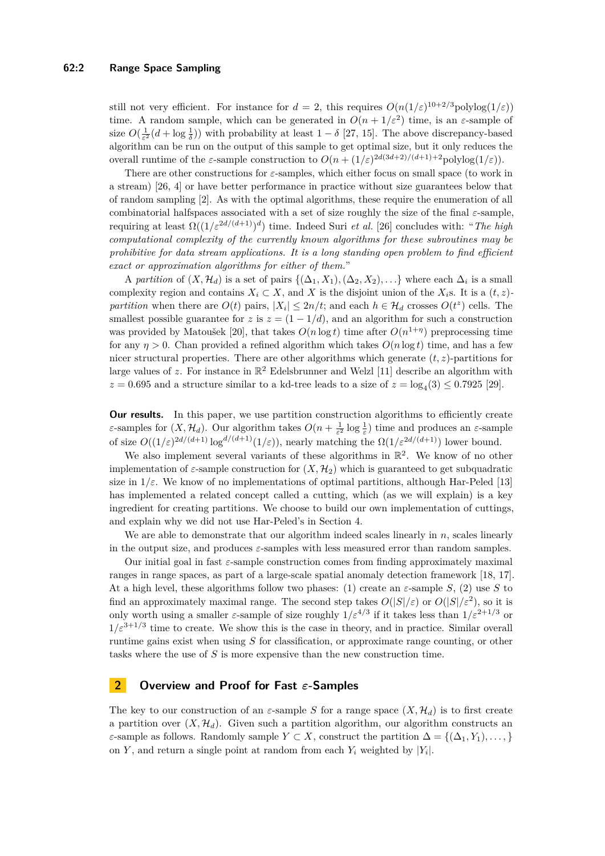still not very efficient. For instance for  $d = 2$ , this requires  $O(n(1/\varepsilon)^{10+2/3}$ polylog $(1/\varepsilon)$ ) time. A random sample, which can be generated in  $O(n + 1/\varepsilon^2)$  time, is an  $\varepsilon$ -sample of size  $O(\frac{1}{\varepsilon^2}(d + \log \frac{1}{\delta}))$  with probability at least  $1 - \delta$  [\[27,](#page-13-3) [15\]](#page-12-5). The above discrepancy-based algorithm can be run on the output of this sample to get optimal size, but it only reduces the overall runtime of the *ε*-sample construction to  $O(n + (1/\varepsilon)^{2d(3d+2)/(d+1)+2}$  polylog(1/*ε*)).

There are other constructions for *ε*-samples, which either focus on small space (to work in a stream) [\[26,](#page-13-4) [4\]](#page-12-6) or have better performance in practice without size guarantees below that of random sampling [\[2\]](#page-12-7). As with the optimal algorithms, these require the enumeration of all combinatorial halfspaces associated with a set of size roughly the size of the final *ε*-sample, requiring at least  $\Omega((1/\varepsilon^{2d/(d+1)})^d)$  time. Indeed Suri *et al.* [\[26\]](#page-13-4) concludes with: "*The high computational complexity of the currently known algorithms for these subroutines may be prohibitive for data stream applications. It is a long standing open problem to find efficient exact or approximation algorithms for either of them.*"

A *partition* of  $(X, \mathcal{H}_d)$  is a set of pairs  $\{(\Delta_1, X_1), (\Delta_2, X_2), \ldots\}$  where each  $\Delta_i$  is a small complexity region and contains  $X_i \subset X$ , and X is the disjoint union of the  $X_i$ s. It is a  $(t, z)$ *partition* when there are  $O(t)$  pairs,  $|X_i| \leq 2n/t$ ; and each  $h \in \mathcal{H}_d$  crosses  $O(t^z)$  cells. The smallest possible guarantee for *z* is  $z = (1 - 1/d)$ , and an algorithm for such a construction was provided by Matoušek [\[20\]](#page-13-5), that takes  $O(n \log t)$  time after  $O(n^{1+\eta})$  preprocessing time for any  $\eta > 0$ . Chan provided a refined algorithm which takes  $O(n \log t)$  time, and has a few nicer structural properties. There are other algorithms which generate  $(t, z)$ -partitions for large values of  $z$ . For instance in  $\mathbb{R}^2$  Edelsbrunner and Welzl [\[11\]](#page-12-8) describe an algorithm with  $z = 0.695$  and a structure similar to a kd-tree leads to a size of  $z = \log_4(3) \leq 0.7925$  [\[29\]](#page-13-6).

**Our results.** In this paper, we use partition construction algorithms to efficiently create *ε*-samples for  $(X, \mathcal{H}_d)$ . Our algorithm takes  $O(n + \frac{1}{\varepsilon^2} \log \frac{1}{\varepsilon})$  time and produces an  $\varepsilon$ -sample of size  $O((1/\varepsilon)^{2d/(d+1)}\log^{d/(d+1)}(1/\varepsilon))$ , nearly matching the  $\Omega(1/\varepsilon^{2d/(d+1)})$  lower bound.

We also implement several variants of these algorithms in  $\mathbb{R}^2$ . We know of no other implementation of  $\varepsilon$ -sample construction for  $(X, \mathcal{H}_2)$  which is guaranteed to get subquadratic size in  $1/\varepsilon$ . We know of no implementations of optimal partitions, although Har-Peled [\[13\]](#page-12-9) has implemented a related concept called a cutting, which (as we will explain) is a key ingredient for creating partitions. We choose to build our own implementation of cuttings, and explain why we did not use Har-Peled's in Section [4.](#page-3-0)

We are able to demonstrate that our algorithm indeed scales linearly in *n*, scales linearly in the output size, and produces *ε*-samples with less measured error than random samples.

Our initial goal in fast *ε*-sample construction comes from finding approximately maximal ranges in range spaces, as part of a large-scale spatial anomaly detection framework [\[18,](#page-12-10) [17\]](#page-12-11). At a high level, these algorithms follow two phases: (1) create an  $\varepsilon$ -sample *S*, (2) use *S* to find an approximately maximal range. The second step takes  $O(|S|/\varepsilon)$  or  $O(|S|/\varepsilon^2)$ , so it is only worth using a smaller *ε*-sample of size roughly  $1/\varepsilon^{4/3}$  if it takes less than  $1/\varepsilon^{2+1/3}$  or  $1/\varepsilon^{3+1/3}$  time to create. We show this is the case in theory, and in practice. Similar overall runtime gains exist when using *S* for classification, or approximate range counting, or other tasks where the use of *S* is more expensive than the new construction time.

## **2 Overview and Proof for Fast** *ε***-Samples**

The key to our construction of an  $\varepsilon$ -sample *S* for a range space  $(X, \mathcal{H}_d)$  is to first create a partition over  $(X, \mathcal{H}_d)$ . Given such a partition algorithm, our algorithm constructs an *ε*-sample as follows. Randomly sample  $Y \subset X$ , construct the partition  $\Delta = \{(\Delta_1, Y_1), \ldots, \}$ on *Y*, and return a single point at random from each  $Y_i$  weighted by  $|Y_i|$ .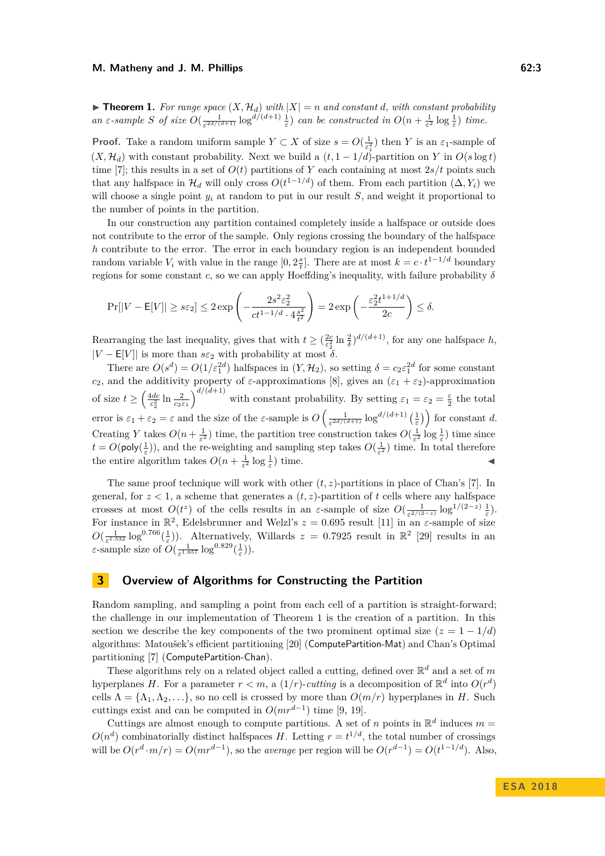<span id="page-2-0"></span> $\blacktriangleright$  **Theorem 1.** For range space  $(X, \mathcal{H}_d)$  with  $|X| = n$  and constant *d*, with constant probability an  $\varepsilon$ -sample S of size  $O(\frac{1}{\varepsilon^{2d/(d+1)}}\log^{d/(d+1)}\frac{1}{\varepsilon})$  can be constructed in  $O(n+\frac{1}{\varepsilon^2}\log\frac{1}{\varepsilon})$  time.

**Proof.** Take a random uniform sample  $Y \subset X$  of size  $s = O(\frac{1}{\epsilon_1^2})$  then *Y* is an  $\varepsilon_1$ -sample of  $(X, \mathcal{H}_d)$  with constant probability. Next we build a  $(t, 1 - 1/d)$ -partition on *Y* in  $O(s \log t)$ time [\[7\]](#page-12-12); this results in a set of  $O(t)$  partitions of Y each containing at most  $2s/t$  points such that any halfspace in  $\mathcal{H}_d$  will only cross  $O(t^{1-1/d})$  of them. From each partition  $(\Delta, Y_i)$  we will choose a single point  $y_i$  at random to put in our result  $S$ , and weight it proportional to the number of points in the partition.

In our construction any partition contained completely inside a halfspace or outside does not contribute to the error of the sample. Only regions crossing the boundary of the halfspace *h* contribute to the error. The error in each boundary region is an independent bounded random variable  $V_i$  with value in the range  $[0, 2\frac{s}{t}]$ . There are at most  $k = c \cdot t^{1-1/d}$  boundary regions for some constant *c*, so we can apply Hoeffding's inequality, with failure probability *δ*

$$
\Pr[|V - \mathsf{E}[V]| \ge s\varepsilon_2] \le 2\exp\left(-\frac{2s^2\varepsilon_2^2}{ct^{1-1/d}\cdot 4\frac{s^2}{t^2}}\right) = 2\exp\left(-\frac{\varepsilon_2^2 t^{1+1/d}}{2c}\right) \le \delta.
$$

Rearranging the last inequality, gives that with  $t \geq (\frac{2c}{\epsilon_2^2} \ln \frac{2}{\delta})^{d/(d+1)}$ , for any one halfspace *h*,  $|V - \mathsf{E}[V]|$  is more than  $s\varepsilon_2$  with probability at most  $\delta$ .

There are  $O(s^d) = O(1/\varepsilon_1^{2d})$  halfspaces in  $(Y, \mathcal{H}_2)$ , so setting  $\delta = c_2 \varepsilon_1^{2d}$  for some constant *c*<sub>2</sub>, and the additivity property of *ε*-approximations [\[8\]](#page-12-1), gives an  $(\varepsilon_1 + \varepsilon_2)$ -approximation of size  $t \geq \left(\frac{4dc}{\epsilon_2^2} \ln \frac{2}{c_2 \epsilon_1}\right)^{d/(d+1)}$  with constant probability. By setting  $\varepsilon_1 = \varepsilon_2 = \frac{\varepsilon}{2}$  the total error is  $\varepsilon_1 + \varepsilon_2 = \varepsilon$  and the size of the  $\varepsilon$ -sample is  $O\left(\frac{1}{\varepsilon^{2d/(d+1)}}\log^{d/(d+1)}\left(\frac{1}{\varepsilon}\right)\right)$  for constant *d*. Creating *Y* takes  $O(n + \frac{1}{\varepsilon^2})$  time, the partition tree construction takes  $O(\frac{1}{\varepsilon^2} \log \frac{1}{\varepsilon})$  time since  $t = O(\text{poly}(\frac{1}{\varepsilon}))$ , and the re-weighting and sampling step takes  $O(\frac{1}{\varepsilon^2})$  time. In total therefore the entire algorithm takes  $O(n + \frac{1}{\varepsilon^2} \log \frac{1}{\varepsilon})$  time.

The same proof technique will work with other (*t, z*)-partitions in place of Chan's [\[7\]](#page-12-12). In general, for  $z < 1$ , a scheme that generates a  $(t, z)$ -partition of  $t$  cells where any halfspace crosses at most  $O(t^z)$  of the cells results in an *ε*-sample of size  $O(\frac{1}{\varepsilon^{2/(2-z)}}\log^{1/(2-z)}\frac{1}{\varepsilon})$ . For instance in  $\mathbb{R}^2$ , Edelsbrunner and Welzl's  $z = 0.695$  result [\[11\]](#page-12-8) in an  $\varepsilon$ -sample of size  $O(\frac{1}{\epsilon^{1.532}} \log^{0.766}(\frac{1}{\epsilon}))$ . Alternatively, Willards  $z = 0.7925$  result in  $\mathbb{R}^2$  [\[29\]](#page-13-6) results in an *ε*-sample size of  $O(\frac{1}{\varepsilon^{1.657}} \log^{0.829}(\frac{1}{\varepsilon}))$ .

## **3 Overview of Algorithms for Constructing the Partition**

Random sampling, and sampling a point from each cell of a partition is straight-forward; the challenge in our implementation of Theorem [1](#page-2-0) is the creation of a partition. In this section we describe the key components of the two prominent optimal size  $(z = 1 - 1/d)$ algorithms: Matoušek's efficient partitioning [\[20\]](#page-13-5) (ComputePartition-Mat) and Chan's Optimal partitioning [\[7\]](#page-12-12) (ComputePartition-Chan).

These algorithms rely on a related object called a cutting, defined over  $\mathbb{R}^d$  and a set of m hyperplanes *H*. For a parameter  $r < m$ , a  $(1/r)$ -*cutting* is a decomposition of  $\mathbb{R}^d$  into  $O(r^d)$ cells  $\Lambda = {\Lambda_1, \Lambda_2, \ldots}$ , so no cell is crossed by more than  $O(m/r)$  hyperplanes in *H*. Such cuttings exist and can be computed in  $O(mr^{d-1})$  time [\[9,](#page-12-13) [19\]](#page-13-7).

Cuttings are almost enough to compute partitions. A set of *n* points in  $\mathbb{R}^d$  induces  $m =$  $O(n^d)$  combinatorially distinct halfspaces *H*. Letting  $r = t^{1/d}$ , the total number of crossings will be  $O(r^d \cdot m/r) = O(mr^{d-1})$ , so the *average* per region will be  $O(r^{d-1}) = O(t^{1-1/d})$ . Also,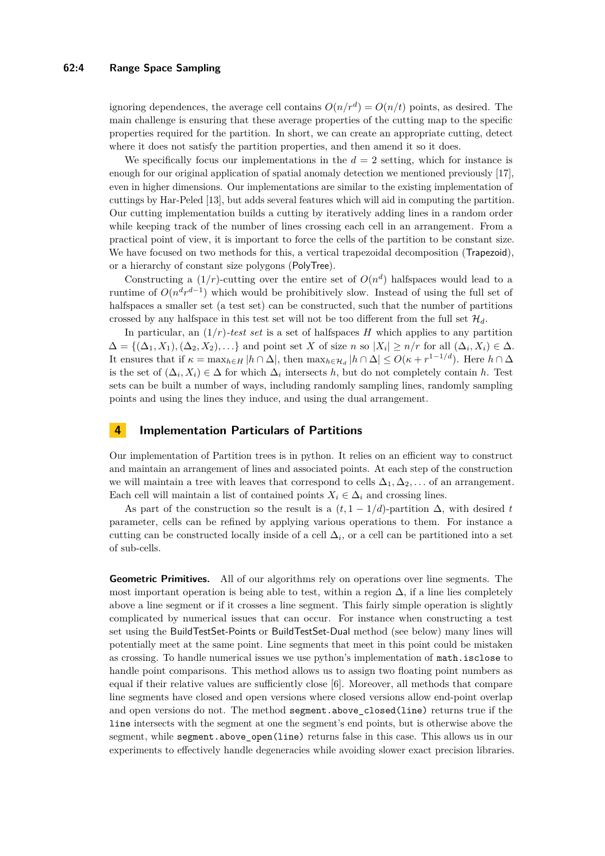### **62:4 Range Space Sampling**

ignoring dependences, the average cell contains  $O(n/r^d) = O(n/t)$  points, as desired. The main challenge is ensuring that these average properties of the cutting map to the specific properties required for the partition. In short, we can create an appropriate cutting, detect where it does not satisfy the partition properties, and then amend it so it does.

We specifically focus our implementations in the  $d = 2$  setting, which for instance is enough for our original application of spatial anomaly detection we mentioned previously [\[17\]](#page-12-11), even in higher dimensions. Our implementations are similar to the existing implementation of cuttings by Har-Peled [\[13\]](#page-12-9), but adds several features which will aid in computing the partition. Our cutting implementation builds a cutting by iteratively adding lines in a random order while keeping track of the number of lines crossing each cell in an arrangement. From a practical point of view, it is important to force the cells of the partition to be constant size. We have focused on two methods for this, a vertical trapezoidal decomposition (Trapezoid), or a hierarchy of constant size polygons (PolyTree).

Constructing a  $(1/r)$ -cutting over the entire set of  $O(n^d)$  halfspaces would lead to a runtime of  $O(n^d r^{d-1})$  which would be prohibitively slow. Instead of using the full set of halfspaces a smaller set (a test set) can be constructed, such that the number of partitions crossed by any halfspace in this test set will not be too different from the full set  $\mathcal{H}_d$ .

In particular, an  $(1/r)$ -test set is a set of halfspaces *H* which applies to any partition  $\Delta = \{(\Delta_1, X_1), (\Delta_2, X_2), \ldots\}$  and point set *X* of size *n* so  $|X_i| \geq n/r$  for all  $(\Delta_i, X_i) \in \Delta$ . It ensures that if  $\kappa = \max_{h \in H} |h \cap \Delta|$ , then  $\max_{h \in H_d} |h \cap \Delta| \leq O(\kappa + r^{1-1/d})$ . Here  $h \cap \Delta$ is the set of  $(\Delta_i, X_i) \in \Delta$  for which  $\Delta_i$  intersects *h*, but do not completely contain *h*. Test sets can be built a number of ways, including randomly sampling lines, randomly sampling points and using the lines they induce, and using the dual arrangement.

## <span id="page-3-0"></span>**4 Implementation Particulars of Partitions**

Our implementation of Partition trees is in python. It relies on an efficient way to construct and maintain an arrangement of lines and associated points. At each step of the construction we will maintain a tree with leaves that correspond to cells  $\Delta_1, \Delta_2, \ldots$  of an arrangement. Each cell will maintain a list of contained points  $X_i \in \Delta_i$  and crossing lines.

As part of the construction so the result is a  $(t, 1 - 1/d)$ -partition  $\Delta$ , with desired *t* parameter, cells can be refined by applying various operations to them. For instance a cutting can be constructed locally inside of a cell  $\Delta_i$ , or a cell can be partitioned into a set of sub-cells.

**Geometric Primitives.** All of our algorithms rely on operations over line segments. The most important operation is being able to test, within a region  $\Delta$ , if a line lies completely above a line segment or if it crosses a line segment. This fairly simple operation is slightly complicated by numerical issues that can occur. For instance when constructing a test set using the BuildTestSet-Points or BuildTestSet-Dual method (see below) many lines will potentially meet at the same point. Line segments that meet in this point could be mistaken as crossing. To handle numerical issues we use python's implementation of math.isclose to handle point comparisons. This method allows us to assign two floating point numbers as equal if their relative values are sufficiently close [\[6\]](#page-12-14). Moreover, all methods that compare line segments have closed and open versions where closed versions allow end-point overlap and open versions do not. The method segment.above closed(line) returns true if the line intersects with the segment at one the segment's end points, but is otherwise above the segment, while segment.above\_open(line) returns false in this case. This allows us in our experiments to effectively handle degeneracies while avoiding slower exact precision libraries.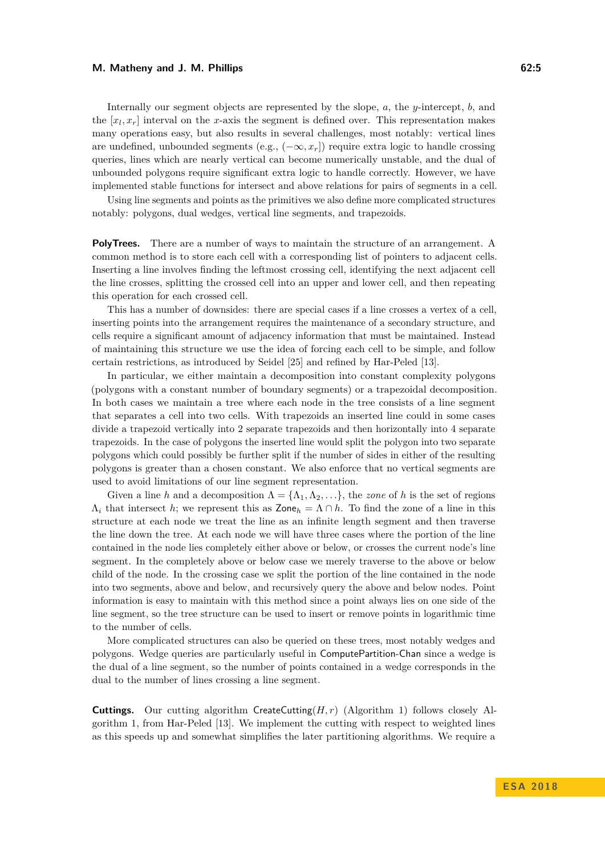#### **M. Matheny and J. M. Phillips 62:5**

Internally our segment objects are represented by the slope, *a*, the *y*-intercept, *b*, and the  $[x_l, x_r]$  interval on the *x*-axis the segment is defined over. This representation makes many operations easy, but also results in several challenges, most notably: vertical lines are undefined, unbounded segments (e.g.,  $(-\infty, x_r]$ ) require extra logic to handle crossing queries, lines which are nearly vertical can become numerically unstable, and the dual of unbounded polygons require significant extra logic to handle correctly. However, we have implemented stable functions for intersect and above relations for pairs of segments in a cell.

Using line segments and points as the primitives we also define more complicated structures notably: polygons, dual wedges, vertical line segments, and trapezoids.

**PolyTrees.** There are a number of ways to maintain the structure of an arrangement. A common method is to store each cell with a corresponding list of pointers to adjacent cells. Inserting a line involves finding the leftmost crossing cell, identifying the next adjacent cell the line crosses, splitting the crossed cell into an upper and lower cell, and then repeating this operation for each crossed cell.

This has a number of downsides: there are special cases if a line crosses a vertex of a cell, inserting points into the arrangement requires the maintenance of a secondary structure, and cells require a significant amount of adjacency information that must be maintained. Instead of maintaining this structure we use the idea of forcing each cell to be simple, and follow certain restrictions, as introduced by Seidel [\[25\]](#page-13-8) and refined by Har-Peled [\[13\]](#page-12-9).

In particular, we either maintain a decomposition into constant complexity polygons (polygons with a constant number of boundary segments) or a trapezoidal decomposition. In both cases we maintain a tree where each node in the tree consists of a line segment that separates a cell into two cells. With trapezoids an inserted line could in some cases divide a trapezoid vertically into 2 separate trapezoids and then horizontally into 4 separate trapezoids. In the case of polygons the inserted line would split the polygon into two separate polygons which could possibly be further split if the number of sides in either of the resulting polygons is greater than a chosen constant. We also enforce that no vertical segments are used to avoid limitations of our line segment representation.

Given a line *h* and a decomposition  $\Lambda = {\Lambda_1, \Lambda_2, \ldots}$ , the *zone* of *h* is the set of regions  $\Lambda_i$  that intersect *h*; we represent this as Zone<sub>*h*</sub> =  $\Lambda \cap h$ . To find the zone of a line in this structure at each node we treat the line as an infinite length segment and then traverse the line down the tree. At each node we will have three cases where the portion of the line contained in the node lies completely either above or below, or crosses the current node's line segment. In the completely above or below case we merely traverse to the above or below child of the node. In the crossing case we split the portion of the line contained in the node into two segments, above and below, and recursively query the above and below nodes. Point information is easy to maintain with this method since a point always lies on one side of the line segment, so the tree structure can be used to insert or remove points in logarithmic time to the number of cells.

More complicated structures can also be queried on these trees, most notably wedges and polygons. Wedge queries are particularly useful in ComputePartition-Chan since a wedge is the dual of a line segment, so the number of points contained in a wedge corresponds in the dual to the number of lines crossing a line segment.

**Cuttings.** Our cutting algorithm CreateCutting $(H, r)$  (Algorithm [1\)](#page-5-0) follows closely Algorithm [1,](#page-5-0) from Har-Peled [\[13\]](#page-12-9). We implement the cutting with respect to weighted lines as this speeds up and somewhat simplifies the later partitioning algorithms. We require a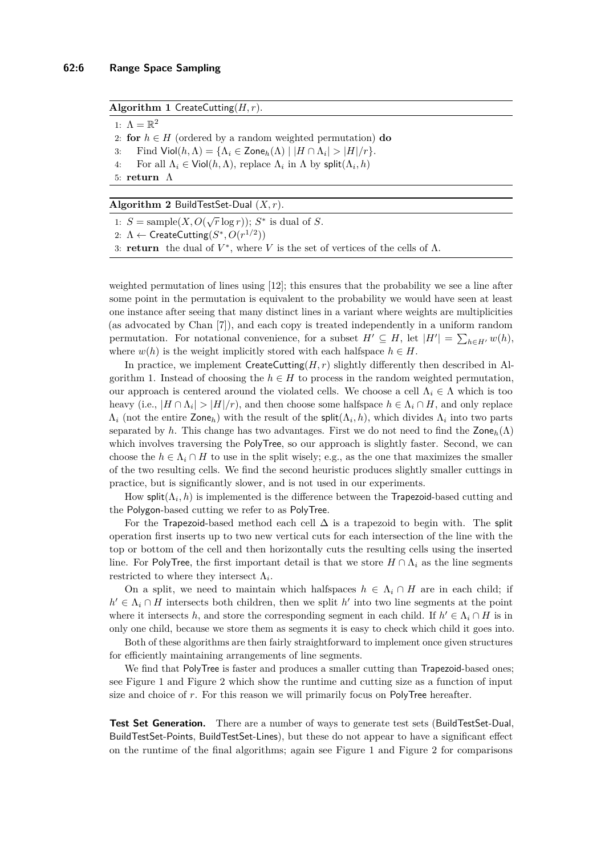#### <span id="page-5-0"></span>**Algorithm 1** CreateCutting(*H, r*).

1:  $\Lambda = \mathbb{R}^2$ 2: **for**  $h \in H$  (ordered by a random weighted permutation) **do** 3: Find  $\mathsf{Viol}(h, \Lambda) = \{\Lambda_i \in \mathsf{Zone}_h(\Lambda) \mid |H \cap \Lambda_i| > |H|/r\}.$ 4: For all  $\Lambda_i \in \text{Viol}(h, \Lambda)$ , replace  $\Lambda_i$  in  $\Lambda$  by split $(\Lambda_i, h)$ 5: **return** Λ

<span id="page-5-1"></span>**Algorithm 2** BuildTestSet-Dual (*X, r*).

1:  $S = \text{sample}(X, O(\sqrt{r} \log r)); S^*$  is dual of *S*.

2:  $\Lambda \leftarrow$  CreateCutting $(S^*, O(r^{1/2}))$ 

3: **return** the dual of  $V^*$ , where V is the set of vertices of the cells of  $\Lambda$ .

weighted permutation of lines using [\[12\]](#page-12-15); this ensures that the probability we see a line after some point in the permutation is equivalent to the probability we would have seen at least one instance after seeing that many distinct lines in a variant where weights are multiplicities (as advocated by Chan [\[7\]](#page-12-12)), and each copy is treated independently in a uniform random permutation. For notational convenience, for a subset  $H' \subseteq H$ , let  $|H'| = \sum_{h \in H'} w(h)$ , where  $w(h)$  is the weight implicitly stored with each halfspace  $h \in H$ .

In practice, we implement CreateCutting $(H, r)$  slightly differently then described in Al-gorithm [1.](#page-5-0) Instead of choosing the  $h \in H$  to process in the random weighted permutation, our approach is centered around the violated cells. We choose a cell  $\Lambda_i \in \Lambda$  which is too heavy (i.e.,  $|H \cap \Lambda_i| > |H|/r$ ), and then choose some halfspace  $h \in \Lambda_i \cap H$ , and only replace  $\Lambda_i$  (not the entire Zone<sub>*h*</sub>) with the result of the split( $\Lambda_i$ , *h*), which divides  $\Lambda_i$  into two parts separated by *h*. This change has two advantages. First we do not need to find the Zone<sub>h</sub>( $\Lambda$ ) which involves traversing the PolyTree, so our approach is slightly faster. Second, we can choose the  $h \in \Lambda_i \cap H$  to use in the split wisely; e.g., as the one that maximizes the smaller of the two resulting cells. We find the second heuristic produces slightly smaller cuttings in practice, but is significantly slower, and is not used in our experiments.

How split $(\Lambda_i, h)$  is implemented is the difference between the Trapezoid-based cutting and the Polygon-based cutting we refer to as PolyTree.

For the Trapezoid-based method each cell  $\Delta$  is a trapezoid to begin with. The split operation first inserts up to two new vertical cuts for each intersection of the line with the top or bottom of the cell and then horizontally cuts the resulting cells using the inserted line. For PolyTree, the first important detail is that we store  $H \cap \Lambda_i$  as the line segments restricted to where they intersect  $\Lambda_i$ .

On a split, we need to maintain which halfspaces  $h \in \Lambda_i \cap H$  are in each child; if  $h' \in \Lambda_i \cap H$  intersects both children, then we split *h*' into two line segments at the point where it intersects *h*, and store the corresponding segment in each child. If  $h' \in \Lambda_i \cap H$  is in only one child, because we store them as segments it is easy to check which child it goes into.

Both of these algorithms are then fairly straightforward to implement once given structures for efficiently maintaining arrangements of line segments.

We find that PolyTree is faster and produces a smaller cutting than Trapezoid-based ones; see Figure [1](#page-6-0) and Figure [2](#page-6-1) which show the runtime and cutting size as a function of input size and choice of *r*. For this reason we will primarily focus on PolyTree hereafter.

**Test Set Generation.** There are a number of ways to generate test sets (BuildTestSet-Dual, BuildTestSet-Points, BuildTestSet-Lines), but these do not appear to have a significant effect on the runtime of the final algorithms; again see Figure [1](#page-6-0) and Figure [2](#page-6-1) for comparisons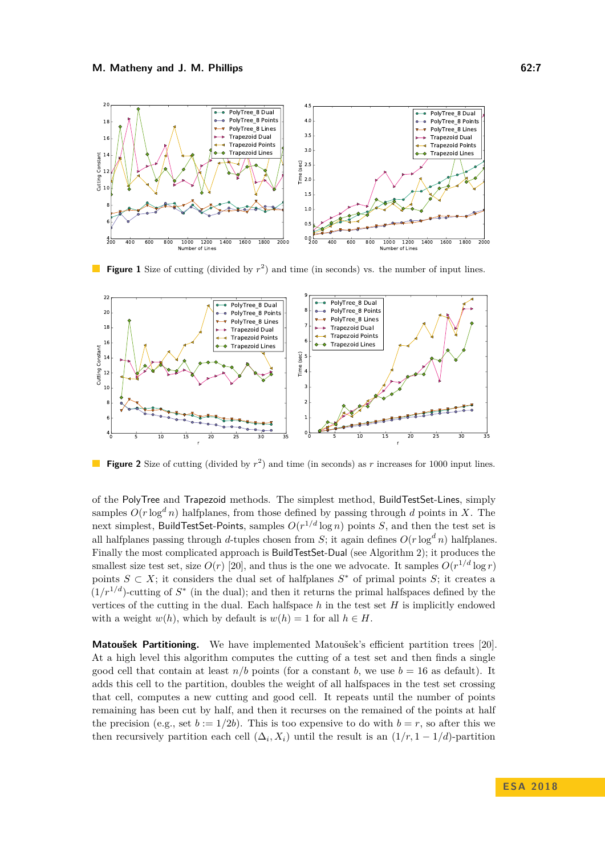<span id="page-6-0"></span>

**Figure 1** Size of cutting (divided by  $r^2$ ) and time (in seconds) vs. the number of input lines.

<span id="page-6-1"></span>

**Figure 2** Size of cutting (divided by  $r^2$ ) and time (in seconds) as *r* increases for 1000 input lines.

of the PolyTree and Trapezoid methods. The simplest method, BuildTestSet-Lines, simply samples  $O(r \log^d n)$  halfplanes, from those defined by passing through *d* points in *X*. The next simplest, BuildTestSet-Points, samples *O*(*r* <sup>1</sup>*/d* log *n*) points *S*, and then the test set is all halfplanes passing through *d*-tuples chosen from *S*; it again defines  $O(r \log^d n)$  halfplanes. Finally the most complicated approach is BuildTestSet-Dual (see Algorithm [2\)](#page-5-1); it produces the smallest size test set, size  $O(r)$  [\[20\]](#page-13-5), and thus is the one we advocate. It samples  $O(r^{1/d} \log r)$ points  $S \subset X$ ; it considers the dual set of halfplanes  $S^*$  of primal points  $S$ ; it creates a  $(1/r^{1/d})$ -cutting of  $S^*$  (in the dual); and then it returns the primal halfspaces defined by the vertices of the cutting in the dual. Each halfspace *h* in the test set *H* is implicitly endowed with a weight  $w(h)$ , which by default is  $w(h) = 1$  for all  $h \in H$ .

**Matoušek Partitioning.** We have implemented Matoušek's efficient partition trees [\[20\]](#page-13-5). At a high level this algorithm computes the cutting of a test set and then finds a single good cell that contain at least  $n/b$  points (for a constant b, we use  $b = 16$  as default). It adds this cell to the partition, doubles the weight of all halfspaces in the test set crossing that cell, computes a new cutting and good cell. It repeats until the number of points remaining has been cut by half, and then it recurses on the remained of the points at half the precision (e.g., set  $b := 1/2b$ ). This is too expensive to do with  $b = r$ , so after this we then recursively partition each cell  $(\Delta_i, X_i)$  until the result is an  $(1/r, 1-1/d)$ -partition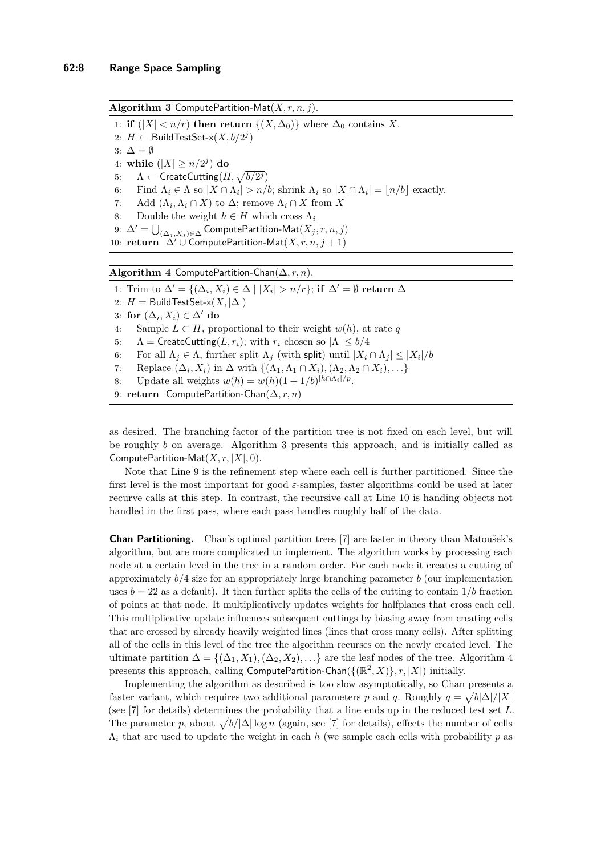<span id="page-7-0"></span>**Algorithm 3** ComputePartition-Mat(*X, r, n, j*).

- 1: **if**  $(|X| < n/r)$  **then return**  $\{(X, \Delta_0)\}\$  where  $\Delta_0$  contains X.
- 2:  $H \leftarrow$  Build Test Set- $\times$  $(X, b/2<sup>j</sup>)$
- 3:  $\Delta = \emptyset$
- 4: while  $(|X| \ge n/2^j)$  do
- 5:  $\Lambda \leftarrow \mathsf{CreateCutting}(H, \sqrt{b/2^j})$
- 6: Find  $\Lambda_i \in \Lambda$  so  $|X \cap \Lambda_i| > n/b$ ; shrink  $\Lambda_i$  so  $|X \cap \Lambda_i| = \lfloor n/b \rfloor$  exactly.
- 7: Add  $(\Lambda_i, \Lambda_i \cap X)$  to  $\Delta$ ; remove  $\Lambda_i \cap X$  from X
- 8: Double the weight  $h \in H$  which cross  $\Lambda_i$
- 9:  $\Delta' = \bigcup_{(\Delta_j, X_j) \in \Delta}$  ComputePartition-Mat $(X_j, r, n, j)$
- 10: **return**  $\Delta'$  ∪ ComputePartition-Mat $(X, r, n, j + 1)$

<span id="page-7-1"></span>**Algorithm 4** ComputePartition-Chan(∆*, r, n*).

1: Trim to  $\Delta' = \{(\Delta_i, X_i) \in \Delta \mid |X_i| > n/r\};$  if  $\Delta' = \emptyset$  return  $\Delta$ 2:  $H =$  BuildTestSet-x( $X, |\Delta|$ ) 3: **for**  $(\Delta_i, X_i) \in \Delta'$  **do** 4: Sample  $L \subset H$ , proportional to their weight  $w(h)$ , at rate q 5:  $\Lambda = \text{CreateCutting}(L, r_i);$  with  $r_i$  chosen so  $|\Lambda| \leq b/4$ 6: For all  $\Lambda_j \in \Lambda$ , further split  $\Lambda_j$  (with split) until  $|X_i \cap \Lambda_j| \leq |X_i|/b$ 7: Replace  $(\Delta_i, X_i)$  in  $\Delta$  with  $\{(\Lambda_1, \Lambda_1 \cap X_i), (\Lambda_2, \Lambda_2 \cap X_i), \ldots\}$ 8: Update all weights  $w(h) = w(h)(1 + 1/b)^{|h \cap \bar{\Lambda}_i|/p}$ .

9: **return** ComputePartition-Chan(∆*, r, n*)

as desired. The branching factor of the partition tree is not fixed on each level, but will be roughly *b* on average. Algorithm [3](#page-7-0) presents this approach, and is initially called as ComputePartition-Mat(*X, r,* |*X*|*,* 0).

Note that Line 9 is the refinement step where each cell is further partitioned. Since the first level is the most important for good *ε*-samples, faster algorithms could be used at later recurve calls at this step. In contrast, the recursive call at Line 10 is handing objects not handled in the first pass, where each pass handles roughly half of the data.

**Chan Partitioning.** Chan's optimal partition trees [\[7\]](#page-12-12) are faster in theory than Matoušek's algorithm, but are more complicated to implement. The algorithm works by processing each node at a certain level in the tree in a random order. For each node it creates a cutting of approximately *b/*4 size for an appropriately large branching parameter *b* (our implementation uses  $b = 22$  as a default). It then further splits the cells of the cutting to contain  $1/b$  fraction of points at that node. It multiplicatively updates weights for halfplanes that cross each cell. This multiplicative update influences subsequent cuttings by biasing away from creating cells that are crossed by already heavily weighted lines (lines that cross many cells). After splitting all of the cells in this level of the tree the algorithm recurses on the newly created level. The ultimate partition  $\Delta = \{(\Delta_1, X_1), (\Delta_2, X_2), \ldots\}$  are the leaf nodes of the tree. Algorithm [4](#page-7-1) presents this approach, calling  $\text{ComputePartition-Chan}(\{(\mathbb{R}^2, X)\}, r, |X|)$  initially.

Implementing the algorithm as described is too slow asymptotically, so Chan presents a faster variant, which requires two additional parameters *p* and *q*. Roughly  $q = \sqrt{b|\Delta|}/|X|$ (see [\[7\]](#page-12-12) for details) determines the probability that a line ends up in the reduced test set *L*. The parameter *p*, about  $\sqrt{b/|\Delta|} \log n$  (again, see [\[7\]](#page-12-12) for details), effects the number of cells  $\Lambda_i$  that are used to update the weight in each *h* (we sample each cells with probability *p* as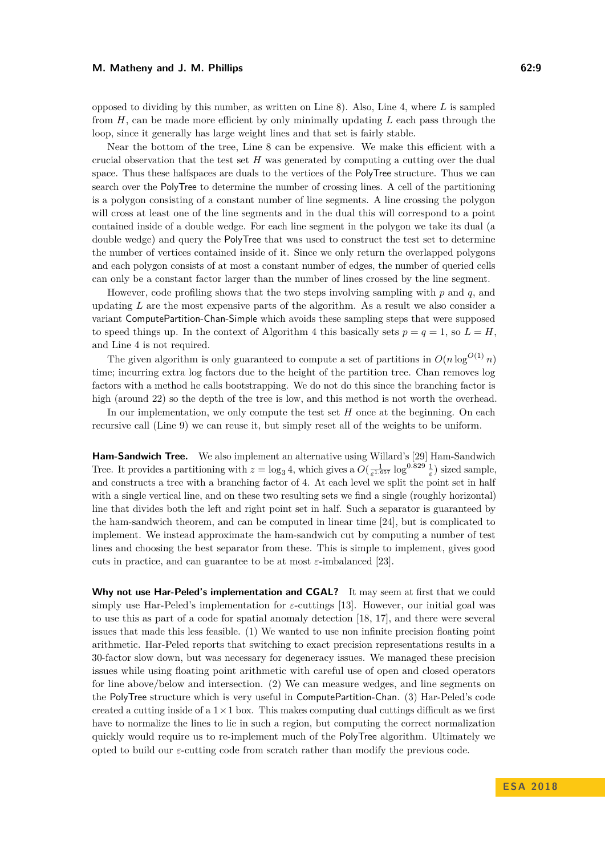#### **M. Matheny and J. M. Phillips 62:9** 62:9

opposed to dividing by this number, as written on Line 8). Also, Line 4, where *L* is sampled from *H*, can be made more efficient by only minimally updating *L* each pass through the loop, since it generally has large weight lines and that set is fairly stable.

Near the bottom of the tree, Line 8 can be expensive. We make this efficient with a crucial observation that the test set *H* was generated by computing a cutting over the dual space. Thus these halfspaces are duals to the vertices of the PolyTree structure. Thus we can search over the PolyTree to determine the number of crossing lines. A cell of the partitioning is a polygon consisting of a constant number of line segments. A line crossing the polygon will cross at least one of the line segments and in the dual this will correspond to a point contained inside of a double wedge. For each line segment in the polygon we take its dual (a double wedge) and query the PolyTree that was used to construct the test set to determine the number of vertices contained inside of it. Since we only return the overlapped polygons and each polygon consists of at most a constant number of edges, the number of queried cells can only be a constant factor larger than the number of lines crossed by the line segment.

However, code profiling shows that the two steps involving sampling with *p* and *q*, and updating *L* are the most expensive parts of the algorithm. As a result we also consider a variant ComputePartition-Chan-Simple which avoids these sampling steps that were supposed to speed things up. In the context of Algorithm [4](#page-7-1) this basically sets  $p = q = 1$ , so  $L = H$ , and Line 4 is not required.

The given algorithm is only guaranteed to compute a set of partitions in  $O(n \log^{O(1)} n)$ time; incurring extra log factors due to the height of the partition tree. Chan removes log factors with a method he calls bootstrapping. We do not do this since the branching factor is high (around 22) so the depth of the tree is low, and this method is not worth the overhead.

In our implementation, we only compute the test set *H* once at the beginning. On each recursive call (Line 9) we can reuse it, but simply reset all of the weights to be uniform.

**Ham-Sandwich Tree.** We also implement an alternative using Willard's [\[29\]](#page-13-6) Ham-Sandwich Tree. It provides a partitioning with  $z = \log_3 4$ , which gives a  $O(\frac{1}{\varepsilon^{1.657}} \log^{0.829} \frac{1}{\varepsilon})$  sized sample, and constructs a tree with a branching factor of 4. At each level we split the point set in half with a single vertical line, and on these two resulting sets we find a single (roughly horizontal) line that divides both the left and right point set in half. Such a separator is guaranteed by the ham-sandwich theorem, and can be computed in linear time [\[24\]](#page-13-9), but is complicated to implement. We instead approximate the ham-sandwich cut by computing a number of test lines and choosing the best separator from these. This is simple to implement, gives good cuts in practice, and can guarantee to be at most  $\varepsilon$ -imbalanced [\[23\]](#page-13-10).

**Why not use Har-Peled's implementation and CGAL?** It may seem at first that we could simply use Har-Peled's implementation for *ε*-cuttings [\[13\]](#page-12-9). However, our initial goal was to use this as part of a code for spatial anomaly detection [\[18,](#page-12-10) [17\]](#page-12-11), and there were several issues that made this less feasible. (1) We wanted to use non infinite precision floating point arithmetic. Har-Peled reports that switching to exact precision representations results in a 30-factor slow down, but was necessary for degeneracy issues. We managed these precision issues while using floating point arithmetic with careful use of open and closed operators for line above/below and intersection. (2) We can measure wedges, and line segments on the PolyTree structure which is very useful in ComputePartition-Chan. (3) Har-Peled's code created a cutting inside of a  $1 \times 1$  box. This makes computing dual cuttings difficult as we first have to normalize the lines to lie in such a region, but computing the correct normalization quickly would require us to re-implement much of the PolyTree algorithm. Ultimately we opted to build our *ε*-cutting code from scratch rather than modify the previous code.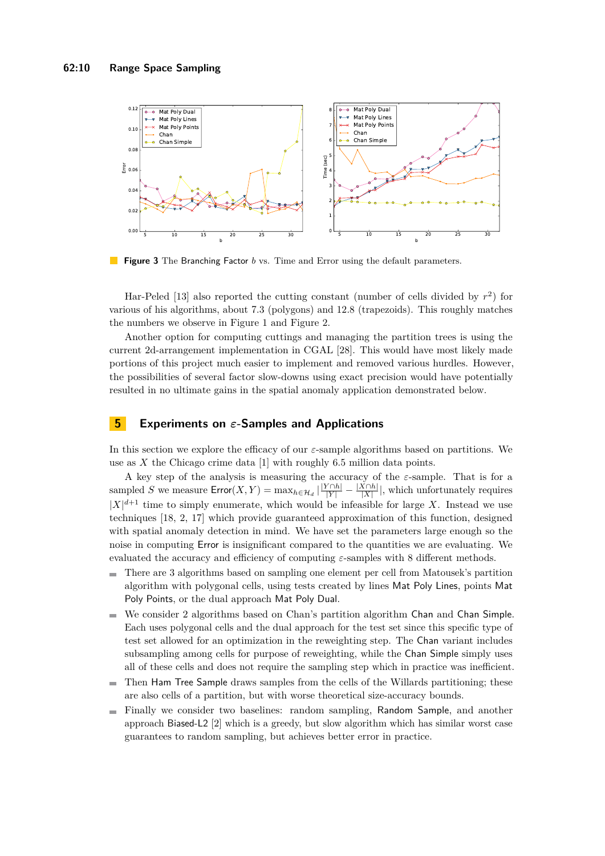<span id="page-9-0"></span>

 $\mathbb{R}^n$ **Figure 3** The Branching Factor *b* vs. Time and Error using the default parameters.

Har-Peled [\[13\]](#page-12-9) also reported the cutting constant (number of cells divided by *r* 2 ) for various of his algorithms, about 7*.*3 (polygons) and 12*.*8 (trapezoids). This roughly matches the numbers we observe in Figure [1](#page-6-0) and Figure [2.](#page-6-1)

Another option for computing cuttings and managing the partition trees is using the current 2d-arrangement implementation in CGAL [\[28\]](#page-13-11). This would have most likely made portions of this project much easier to implement and removed various hurdles. However, the possibilities of several factor slow-downs using exact precision would have potentially resulted in no ultimate gains in the spatial anomaly application demonstrated below.

## **5 Experiments on** *ε***-Samples and Applications**

In this section we explore the efficacy of our *ε*-sample algorithms based on partitions. We use as *X* the Chicago crime data [\[1\]](#page-12-16) with roughly 6.5 million data points.

A key step of the analysis is measuring the accuracy of the *ε*-sample. That is for a sampled *S* we measure  $\textsf{Error}(X, Y) = \max_{h \in \mathcal{H}_d} |\frac{|Y \cap h|}{|Y|} - \frac{|X \cap h|}{|X|}$  $\frac{X \cap h}{|X|}$ , which unfortunately requires  $|X|^{d+1}$  time to simply enumerate, which would be infeasible for large *X*. Instead we use techniques [\[18,](#page-12-10) [2,](#page-12-7) [17\]](#page-12-11) which provide guaranteed approximation of this function, designed with spatial anomaly detection in mind. We have set the parameters large enough so the noise in computing Error is insignificant compared to the quantities we are evaluating. We evaluated the accuracy and efficiency of computing *ε*-samples with 8 different methods.

- There are 3 algorithms based on sampling one element per cell from Matousek's partition  $\blacksquare$ algorithm with polygonal cells, using tests created by lines Mat Poly Lines, points Mat Poly Points, or the dual approach Mat Poly Dual.
- We consider 2 algorithms based on Chan's partition algorithm Chan and Chan Simple.  $\blacksquare$ Each uses polygonal cells and the dual approach for the test set since this specific type of test set allowed for an optimization in the reweighting step. The Chan variant includes subsampling among cells for purpose of reweighting, while the Chan Simple simply uses all of these cells and does not require the sampling step which in practice was inefficient.
- Then Ham Tree Sample draws samples from the cells of the Willards partitioning; these  $\overline{\phantom{a}}$ are also cells of a partition, but with worse theoretical size-accuracy bounds.
- Finally we consider two baselines: random sampling, Random Sample, and another  $\sim$ approach Biased-L2 [\[2\]](#page-12-7) which is a greedy, but slow algorithm which has similar worst case guarantees to random sampling, but achieves better error in practice.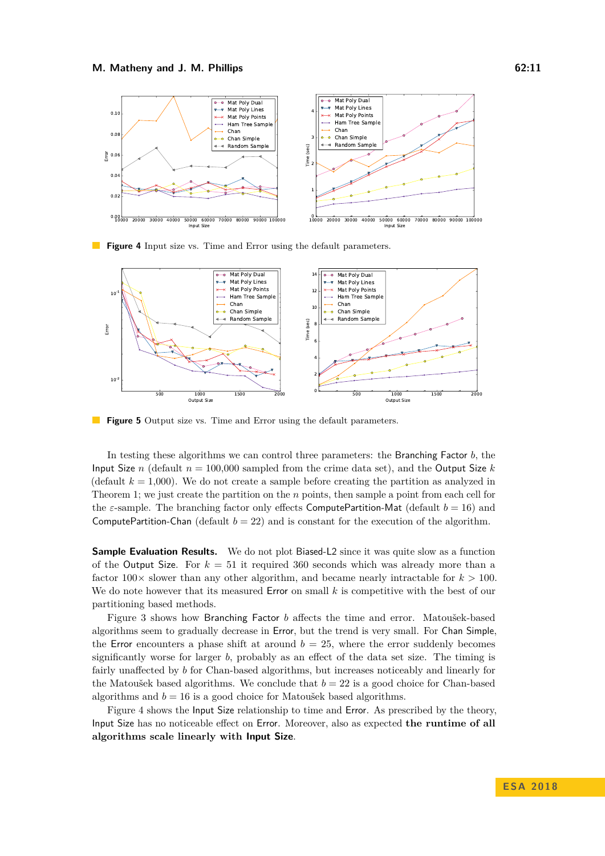<span id="page-10-0"></span>

**Figure 4** Input size vs. Time and Error using the default parameters.

<span id="page-10-1"></span>

**The State Figure 5** Output size vs. Time and Error using the default parameters.

In testing these algorithms we can control three parameters: the Branching Factor *b*, the Input Size *n* (default  $n = 100,000$  sampled from the crime data set), and the Output Size *k* (default  $k = 1,000$ ). We do not create a sample before creating the partition as analyzed in Theorem [1;](#page-2-0) we just create the partition on the *n* points, then sample a point from each cell for the *ε*-sample. The branching factor only effects ComputePartition-Mat (default  $b = 16$ ) and ComputePartition-Chan (default  $b = 22$ ) and is constant for the execution of the algorithm.

**Sample Evaluation Results.** We do not plot Biased-L2 since it was quite slow as a function of the Output Size. For  $k = 51$  it required 360 seconds which was already more than a factor  $100\times$  slower than any other algorithm, and became nearly intractable for  $k > 100$ . We do note however that its measured Error on small k is competitive with the best of our partitioning based methods.

Figure [3](#page-9-0) shows how Branching Factor *b* affects the time and error. Matoušek-based algorithms seem to gradually decrease in Error, but the trend is very small. For Chan Simple, the Error encounters a phase shift at around  $b = 25$ , where the error suddenly becomes significantly worse for larger *b*, probably as an effect of the data set size. The timing is fairly unaffected by *b* for Chan-based algorithms, but increases noticeably and linearly for the Matoušek based algorithms. We conclude that  $b = 22$  is a good choice for Chan-based algorithms and  $b = 16$  is a good choice for Matoušek based algorithms.

Figure [4](#page-10-0) shows the Input Size relationship to time and Error. As prescribed by the theory, Input Size has no noticeable effect on Error. Moreover, also as expected **the runtime of all algorithms scale linearly with Input Size**.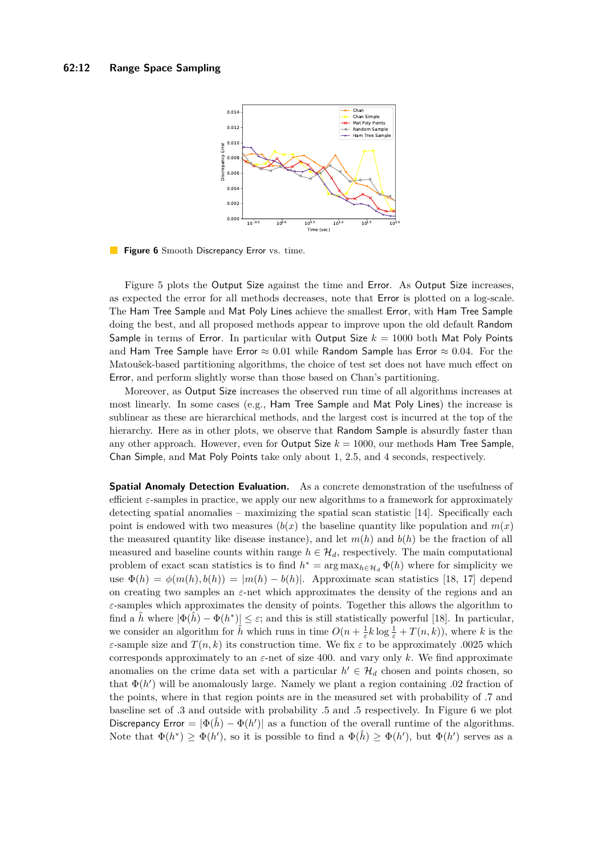<span id="page-11-0"></span>

 $\mathbb{R}^n$ Figure 6 Smooth Discrepancy Error vs. time.

Figure [5](#page-10-1) plots the Output Size against the time and Error. As Output Size increases, as expected the error for all methods decreases, note that Error is plotted on a log-scale. The Ham Tree Sample and Mat Poly Lines achieve the smallest Error, with Ham Tree Sample doing the best, and all proposed methods appear to improve upon the old default Random Sample in terms of Error. In particular with Output Size *k* = 1000 both Mat Poly Points and Ham Tree Sample have Error  $\approx 0.01$  while Random Sample has Error  $\approx 0.04$ . For the Matoušek-based partitioning algorithms, the choice of test set does not have much effect on Error, and perform slightly worse than those based on Chan's partitioning.

Moreover, as Output Size increases the observed run time of all algorithms increases at most linearly. In some cases (e.g., Ham Tree Sample and Mat Poly Lines) the increase is sublinear as these are hierarchical methods, and the largest cost is incurred at the top of the hierarchy. Here as in other plots, we observe that Random Sample is absurdly faster than any other approach. However, even for Output Size  $k = 1000$ , our methods Ham Tree Sample, Chan Simple, and Mat Poly Points take only about 1, 2*.*5, and 4 seconds, respectively.

**Spatial Anomaly Detection Evaluation.** As a concrete demonstration of the usefulness of efficient *ε*-samples in practice, we apply our new algorithms to a framework for approximately detecting spatial anomalies – maximizing the spatial scan statistic [\[14\]](#page-12-17). Specifically each point is endowed with two measures  $(b(x))$  the baseline quantity like population and  $m(x)$ the measured quantity like disease instance), and let  $m(h)$  and  $b(h)$  be the fraction of all measured and baseline counts within range  $h \in \mathcal{H}_d$ , respectively. The main computational problem of exact scan statistics is to find  $h^* = \arg \max_{h \in \mathcal{H}_d} \Phi(h)$  where for simplicity we use  $\Phi(h) = \phi(m(h), b(h)) = |m(h) - b(h)|$ . Approximate scan statistics [\[18,](#page-12-10) [17\]](#page-12-11) depend on creating two samples an *ε*-net which approximates the density of the regions and an *ε*-samples which approximates the density of points. Together this allows the algorithm to find a  $\hat{h}$  where  $|\Phi(\hat{h}) - \Phi(h^*)| \leq \varepsilon$ ; and this is still statistically powerful [\[18\]](#page-12-10). In particular, we consider an algorithm for  $\hat{h}$  which runs in time  $O(n + \frac{1}{\varepsilon}k \log \frac{1}{\varepsilon} + T(n, k))$ , where *k* is the *ε*-sample size and *T*(*n, k*) its construction time. We fix *ε* to be approximately *.*0025 which corresponds approximately to an *ε*-net of size 400. and vary only *k*. We find approximate anomalies on the crime data set with a particular  $h' \in \mathcal{H}_d$  chosen and points chosen, so that  $\Phi(h')$  will be anomalously large. Namely we plant a region containing  $.02$  fraction of the points, where in that region points are in the measured set with probability of *.*7 and baseline set of *.*3 and outside with probability *.*5 and *.*5 respectively. In Figure [6](#page-11-0) we plot Discrepancy Error =  $|\Phi(\hat{h}) - \Phi(h')|$  as a function of the overall runtime of the algorithms. Note that  $\Phi(h^*) \geq \Phi(h')$ , so it is possible to find a  $\Phi(\hat{h}) \geq \Phi(h')$ , but  $\Phi(h')$  serves as a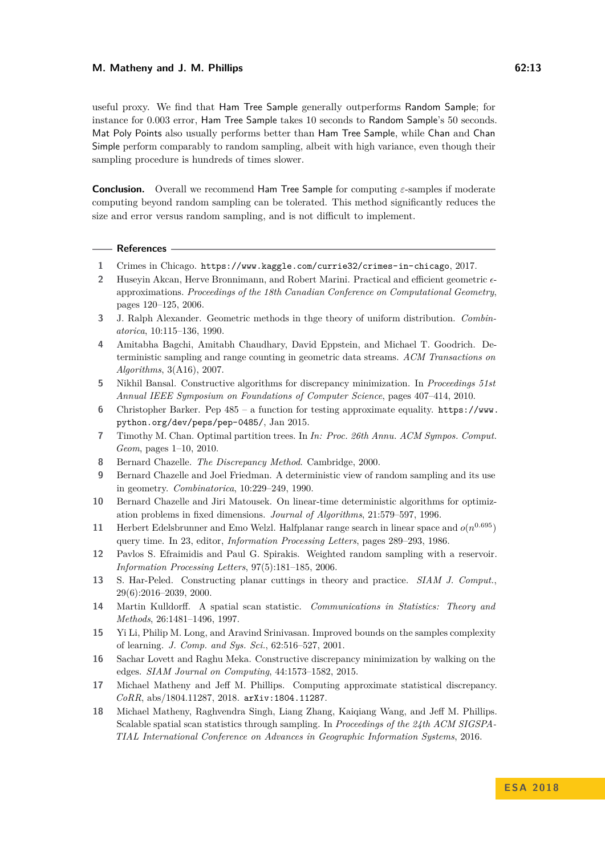#### **M. Matheny and J. M. Phillips 62:13**

useful proxy. We find that Ham Tree Sample generally outperforms Random Sample; for instance for 0*.*003 error, Ham Tree Sample takes 10 seconds to Random Sample's 50 seconds. Mat Poly Points also usually performs better than Ham Tree Sample, while Chan and Chan Simple perform comparably to random sampling, albeit with high variance, even though their sampling procedure is hundreds of times slower.

**Conclusion.** Overall we recommend Ham Tree Sample for computing *ε*-samples if moderate computing beyond random sampling can be tolerated. This method significantly reduces the size and error versus random sampling, and is not difficult to implement.

#### **References**

- <span id="page-12-16"></span>**1** Crimes in Chicago. <https://www.kaggle.com/currie32/crimes-in-chicago>, 2017.
- <span id="page-12-7"></span>**2** Huseyin Akcan, Herve Bronnimann, and Robert Marini. Practical and efficient geometric approximations. *Proceedings of the 18th Canadian Conference on Computational Geometry*, pages 120–125, 2006.
- <span id="page-12-0"></span>**3** J. Ralph Alexander. Geometric methods in thge theory of uniform distribution. *Combinatorica*, 10:115–136, 1990.
- <span id="page-12-6"></span>**4** Amitabha Bagchi, Amitabh Chaudhary, David Eppstein, and Michael T. Goodrich. Deterministic sampling and range counting in geometric data streams. *ACM Transactions on Algorithms*, 3(A16), 2007.
- <span id="page-12-2"></span>**5** Nikhil Bansal. Constructive algorithms for discrepancy minimization. In *Proceedings 51st Annual IEEE Symposium on Foundations of Computer Science*, pages 407–414, 2010.
- <span id="page-12-14"></span>**6** Christopher Barker. Pep 485 – a function for testing approximate equality. [https://www.](https://www.python.org/dev/peps/pep-0485/) [python.org/dev/peps/pep-0485/](https://www.python.org/dev/peps/pep-0485/), Jan 2015.
- <span id="page-12-12"></span>**7** Timothy M. Chan. Optimal partition trees. In *In: Proc. 26th Annu. ACM Sympos. Comput. Geom*, pages 1–10, 2010.
- <span id="page-12-1"></span>**8** Bernard Chazelle. *The Discrepancy Method*. Cambridge, 2000.
- <span id="page-12-13"></span>**9** Bernard Chazelle and Joel Friedman. A deterministic view of random sampling and its use in geometry. *Combinatorica*, 10:229–249, 1990.
- <span id="page-12-4"></span>**10** Bernard Chazelle and Jiri Matousek. On linear-time deterministic algorithms for optimization problems in fixed dimensions. *Journal of Algorithms*, 21:579–597, 1996.
- <span id="page-12-8"></span>**11** Herbert Edelsbrunner and Emo Welzl. Halfplanar range search in linear space and  $o(n^{0.695})$ query time. In 23, editor, *Information Processing Letters*, pages 289–293, 1986.
- <span id="page-12-15"></span>**12** Pavlos S. Efraimidis and Paul G. Spirakis. Weighted random sampling with a reservoir. *Information Processing Letters*, 97(5):181–185, 2006.
- <span id="page-12-9"></span>**13** S. Har-Peled. Constructing planar cuttings in theory and practice. *SIAM J. Comput.*, 29(6):2016–2039, 2000.
- <span id="page-12-17"></span>**14** Martin Kulldorff. A spatial scan statistic. *Communications in Statistics: Theory and Methods*, 26:1481–1496, 1997.
- <span id="page-12-5"></span>**15** Yi Li, Philip M. Long, and Aravind Srinivasan. Improved bounds on the samples complexity of learning. *J. Comp. and Sys. Sci.*, 62:516–527, 2001.
- <span id="page-12-3"></span>**16** Sachar Lovett and Raghu Meka. Constructive discrepancy minimization by walking on the edges. *SIAM Journal on Computing*, 44:1573–1582, 2015.
- <span id="page-12-11"></span>**17** Michael Matheny and Jeff M. Phillips. Computing approximate statistical discrepancy. *CoRR*, abs/1804.11287, 2018. [arXiv:1804.11287](http://arxiv.org/abs/1804.11287).
- <span id="page-12-10"></span>**18** Michael Matheny, Raghvendra Singh, Liang Zhang, Kaiqiang Wang, and Jeff M. Phillips. Scalable spatial scan statistics through sampling. In *Proceedings of the 24th ACM SIGSPA-TIAL International Conference on Advances in Geographic Information Systems*, 2016.